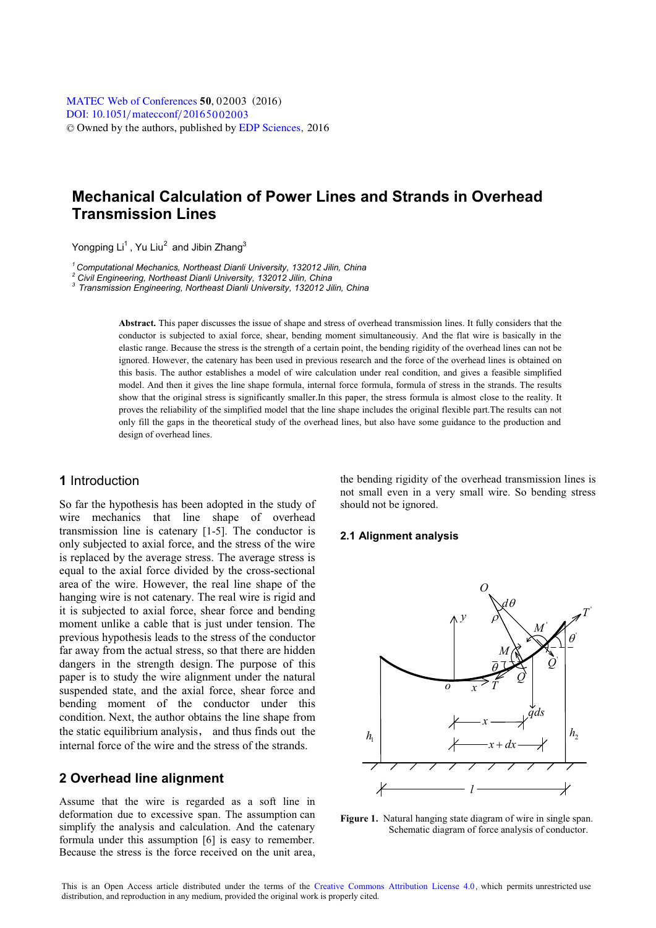[DOI: 10.1051](http://dx.doi.org/10.1051/matecconf/20165002003)/matecconf/20165002003 © Owned by the authors, published by [EDP Sciences](http://www.edpsciences.org), 2016 MATEC [Web of Conferences](http://www.matec-conferences.org) 50, 02003 (2016)

# **Mechanical Calculation of Power Lines and Strands in Overhead Transmission Lines**

Yongping Li<sup>1</sup>, Yu Liu<sup>2</sup> and Jibin Zhang<sup>3</sup>

*<sup>1</sup> Computational Mechanics, Northeast Dianli University, 132012 Jilin, China* 

*2 Civil Engineering, Northeast Dianli University, 132012 Jilin, China* 

*<sup>3</sup> Transmission Engineering, Northeast Dianli University, 132012 Jilin, China* 

**Abstract.** This paper discusses the issue of shape and stress of overhead transmission lines. It fully considers that the conductor is subjected to axial force, shear, bending moment simultaneousiy. And the flat wire is basically in the elastic range. Because the stress is the strength of a certain point, the bending rigidity of the overhead lines can not be ignored. However, the catenary has been used in previous research and the force of the overhead lines is obtained on this basis. The author establishes a model of wire calculation under real condition, and gives a feasible simplified model. And then it gives the line shape formula, internal force formula, formula of stress in the strands. The results show that the original stress is significantly smaller.In this paper, the stress formula is almost close to the reality. It proves the reliability of the simplified model that the line shape includes the original flexible part.The results can not only fill the gaps in the theoretical study of the overhead lines, but also have some guidance to the production and design of overhead lines.

# **1** Introduction

So far the hypothesis has been adopted in the study of wire mechanics that line shape of overhead transmission line is catenary [1-5]. The conductor is only subjected to axial force, and the stress of the wire is replaced by the average stress. The average stress is equal to the axial force divided by the cross-sectional area of the wire. However, the real line shape of the hanging wire is not catenary. The real wire is rigid and it is subjected to axial force, shear force and bending moment unlike a cable that is just under tension. The previous hypothesis leads to the stress of the conductor far away from the actual stress, so that there are hidden dangers in the strength design. The purpose of this paper is to study the wire alignment under the natural suspended state, and the axial force, shear force and bending moment of the conductor under this condition. Next, the author obtains the line shape from the static equilibrium analysis, and thus finds out the internal force of the wire and the stress of the strands.

# **2 Overhead line alignment**

Assume that the wire is regarded as a soft line in deformation due to excessive span. The assumption can simplify the analysis and calculation. And the catenary formula under this assumption [6] is easy to remember. Because the stress is the force received on the unit area,

the bending rigidity of the overhead transmission lines is not small even in a very small wire. So bending stress should not be ignored.

### **2.1 Alignment analysis**



**Figure 1.** Natural hanging state diagram of wire in single span. Schematic diagram of force analysis of conductor.

This is an Open Access article distributed under the terms of the [Creative Commons Attribution License 4.0,](http://creativecommons.org/licenses/by/4.0) which permits unrestricted use distribution, and reproduction in any medium, provided the original work is properly cited.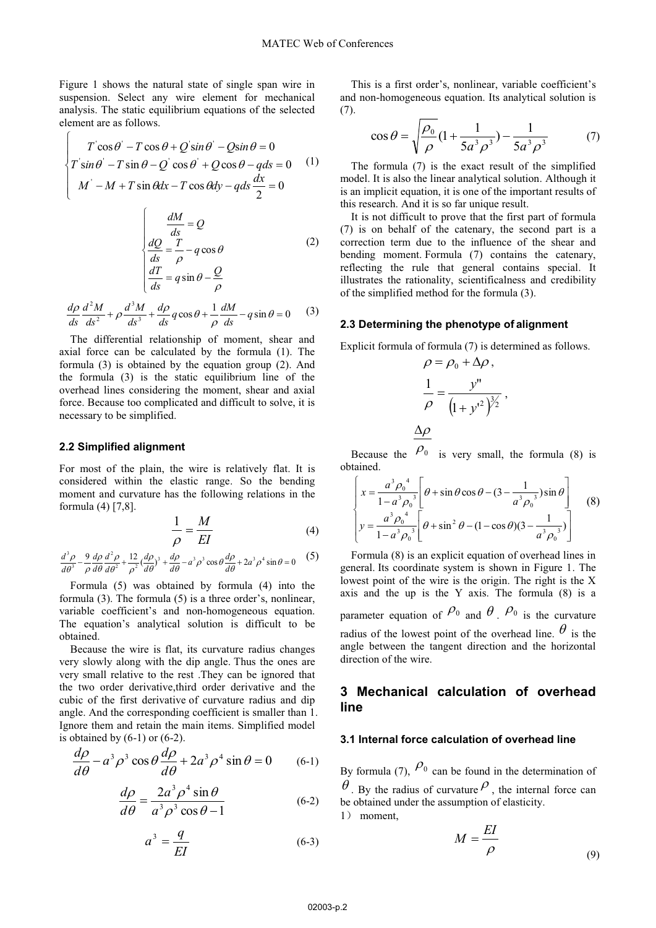Figure 1 shows the natural state of single span wire in suspension. Select any wire element for mechanical analysis. The static equilibrium equations of the selected element are as follows.

$$
T' \cos \theta' - T \cos \theta + Q' \sin \theta' - Q \sin \theta = 0
$$
  
\n
$$
T' \sin \theta' - T \sin \theta - Q' \cos \theta' + Q \cos \theta - q \, ds = 0
$$
 (1)  
\n
$$
M' - M + T \sin \theta \, dx - T \cos \theta \, dy - q \, ds \, \frac{dx}{2} = 0
$$
  
\n
$$
\begin{cases}\n\frac{dM}{ds} = Q \\
\frac{dQ}{ds} = \frac{T}{\rho} - q \cos \theta \\
\frac{dT}{ds} = q \sin \theta - \frac{Q}{\rho}\n\end{cases}
$$
 (2)

$$
\frac{d\rho}{ds}\frac{d^2M}{ds^2} + \rho\frac{d^3M}{ds^3} + \frac{d\rho}{ds}q\cos\theta + \frac{1}{\rho}\frac{dM}{ds} - q\sin\theta = 0
$$
 (3)

The differential relationship of moment, shear and axial force can be calculated by the formula (1). The formula (3) is obtained by the equation group (2). And the formula (3) is the static equilibrium line of the overhead lines considering the moment, shear and axial force. Because too complicated and difficult to solve, it is necessary to be simplified.

#### **2.2 Simplified alignment**

 $\sqrt{ }$ 

For most of the plain, the wire is relatively flat. It is considered within the elastic range. So the bending moment and curvature has the following relations in the formula (4) [7,8].

$$
\frac{1}{\rho} = \frac{M}{EI} \tag{4}
$$

 $\frac{9}{2}\frac{d\rho}{d\theta}\frac{d^2\rho}{d\theta^2} + \frac{12}{2}\left(\frac{d\rho}{d\theta}\right)^3 + \frac{d\rho}{d\theta} - a^3\rho^3\cos\theta\frac{d\rho}{d\theta} + 2a^3\rho^4\sin\theta = 0$ 2 3  $\frac{\partial \rho}{\partial t^3} - \frac{9}{\rho} \frac{d\rho}{d\theta} \frac{d^2\rho}{d\theta^2} + \frac{12}{\rho^2} \left(\frac{d\rho}{d\theta}\right)^3 + \frac{d\rho}{d\theta} - a^3\rho^3 \cos\theta \frac{d\rho}{d\theta} + 2a^3\rho^4 \sin\theta =$  $\rho$  $\theta$  $\rho$  $\theta^2$   $\rho$  $\rho$  $\theta$  $\rho$  $\frac{\partial^3 \rho}{\partial t^3} - \frac{9}{\rho} \frac{d\rho}{d\theta} \frac{d^2 \rho}{d\theta^2} + \frac{12}{\rho^2} (\frac{d\rho}{d\theta})^3 + \frac{d\rho}{d\theta} - a^3 \rho^3 \cos\theta \frac{d\rho}{d\theta} + 2a$ *d d d d d d d*  $d^3 \rho$  9  $d\rho$   $d^2 \rho$ , 12  $d\rho_{\lambda^3}$ ,  $d\rho$   $a^3 a^3 \cos \theta d\rho$ ,  $2a^3 a^4 \sin \theta = 0$  (5)

Formula (5) was obtained by formula (4) into the formula (3). The formula (5) is a three order's, nonlinear, variable coefficient's and non-homogeneous equation. The equation's analytical solution is difficult to be obtained.

Because the wire is flat, its curvature radius changes very slowly along with the dip angle. Thus the ones are very small relative to the rest .They can be ignored that the two order derivative,third order derivative and the cubic of the first derivative of curvature radius and dip angle. And the corresponding coefficient is smaller than 1. Ignore them and retain the main items. Simplified model is obtained by  $(6-1)$  or  $(6-2)$ .

$$
\frac{d\rho}{d\theta} - a^3 \rho^3 \cos \theta \frac{d\rho}{d\theta} + 2a^3 \rho^4 \sin \theta = 0 \qquad (6-1)
$$

$$
\frac{d\rho}{d\theta} = \frac{2a^3\rho^4\sin\theta}{a^3\rho^3\cos\theta - 1}
$$
 (6-2)

$$
a^3 = \frac{q}{EI} \tag{6-3}
$$

This is a first order's, nonlinear, variable coefficient's and non-homogeneous equation. Its analytical solution is (7).

$$
\cos \theta = \sqrt{\frac{\rho_0}{\rho} (1 + \frac{1}{5a^3 \rho^3}) - \frac{1}{5a^3 \rho^3}}
$$
(7)

The formula (7) is the exact result of the simplified model. It is also the linear analytical solution. Although it is an implicit equation, it is one of the important results of this research. And it is so far unique result.

It is not difficult to prove that the first part of formula (7) is on behalf of the catenary, the second part is a correction term due to the influence of the shear and bending moment. Formula (7) contains the catenary, reflecting the rule that general contains special. It illustrates the rationality, scientificalness and credibility of the simplified method for the formula (3).

#### **2.3 Determining the phenotype of alignment**

Explicit formula of formula (7) is determined as follows.

$$
\rho = \rho_0 + \Delta \rho,
$$
  

$$
\frac{1}{\rho} = \frac{y''}{(1 + y'^2)^{\frac{3}{2}}},
$$
  

$$
\frac{\Delta \rho}{\rho}
$$

Because the  $P_0$  is very small, the formula (8) is obtained.

$$
\begin{cases}\n x = \frac{a^3 \rho_0^4}{1 - a^3 \rho_0^3} \left[ \theta + \sin \theta \cos \theta - (3 - \frac{1}{a^3 \rho_0^3}) \sin \theta \right] \\
 y = \frac{a^3 \rho_0^4}{1 - a^3 \rho_0^3} \left[ \theta + \sin^2 \theta - (1 - \cos \theta)(3 - \frac{1}{a^3 \rho_0^3}) \right]\n\end{cases}
$$
\n(8)

Formula (8) is an explicit equation of overhead lines in general. Its coordinate system is shown in Figure 1. The lowest point of the wire is the origin. The right is the X axis and the up is the Y axis. The formula (8) is a parameter equation of  $\rho_0$  and  $\theta$ .  $\rho_0$  is the curvature radius of the lowest point of the overhead line.  $\theta$  is the angle between the tangent direction and the horizontal direction of the wire.

# **3 Mechanical calculation of overhead line**

## **3.1 Internal force calculation of overhead line**

By formula (7),  $\mathcal{P}_0$  can be found in the determination of  $\theta$ . By the radius of curvature  $\beta$ , the internal force can be obtained under the assumption of elasticity. 1) moment,

$$
M = \frac{EI}{\rho} \tag{9}
$$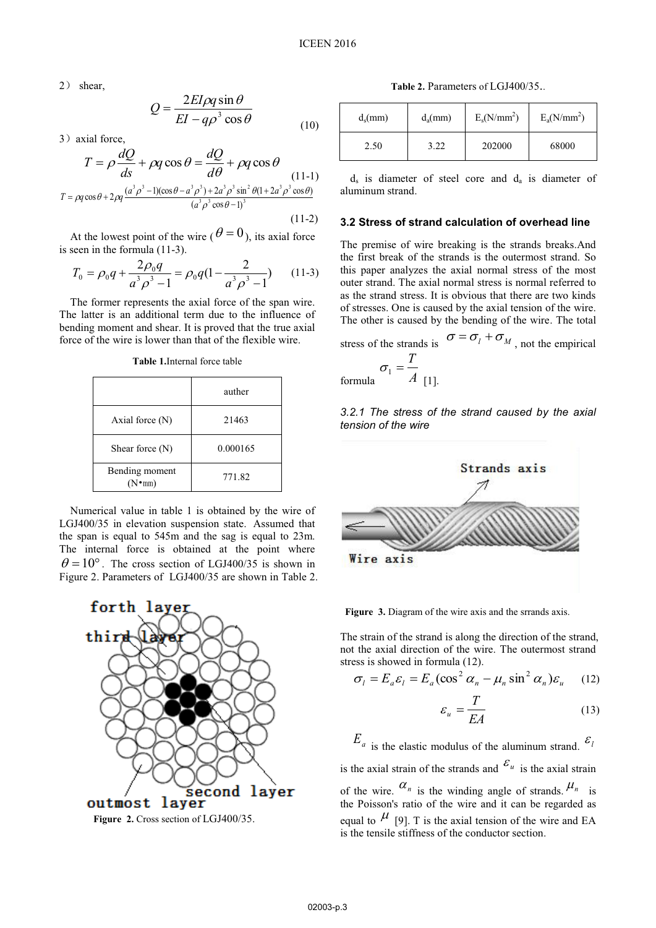2) shear,

$$
Q = \frac{2EI\rho q \sin \theta}{EI - q\rho^3 \cos \theta}
$$
 (10)

3) axial force,

$$
T = \rho \frac{dQ}{ds} + \rho q \cos \theta = \frac{dQ}{d\theta} + \rho q \cos \theta
$$
  
\n
$$
T = \rho q \cos \theta + 2\rho q \frac{(a^3 \rho^3 - 1)(\cos \theta - a^3 \rho^3) + 2a^3 \rho^3 \sin^2 \theta (1 + 2a^3 \rho^3 \cos \theta)}{(a^3 \rho^3 \cos \theta - 1)^3}
$$
  
\n(11-2)

At the lowest point of the wire ( $\theta = 0$ ), its axial force is seen in the formula (11-3).

$$
T_0 = \rho_0 q + \frac{2\rho_0 q}{a^3 \rho^3 - 1} = \rho_0 q (1 - \frac{2}{a^3 \rho^3 - 1}) \qquad (11-3)
$$

The former represents the axial force of the span wire. The latter is an additional term due to the influence of bending moment and shear. It is proved that the true axial force of the wire is lower than that of the flexible wire.

**Table 1.**Internal force table

|                                      | auther   |  |
|--------------------------------------|----------|--|
| Axial force $(N)$                    | 21463    |  |
| Shear force (N)                      | 0.000165 |  |
| Bending moment<br>$(N^{\bullet}$ mm) | 771.82   |  |

Numerical value in table 1 is obtained by the wire of LGJ400/35 in elevation suspension state. Assumed that the span is equal to 545m and the sag is equal to 23m. The internal force is obtained at the point where  $\theta = 10^{\circ}$ . The cross section of LGJ400/35 is shown in Figure 2. Parameters of LGJ400/35 are shown in Table 2.



Figure 2. Cross section of LGJ400/35.

**Table 2.** Parameters of LGJ400/35..

| $d_s$ (mm) | $d_a$ (mm) | $E_s(N/mm^2)$ | $E_a(N/mm^2)$ |
|------------|------------|---------------|---------------|
| 2.50       | 3.22       | 202000        | 68000         |

 $d_s$  is diameter of steel core and  $d_a$  is diameter of aluminum strand.

#### **3.2 Stress of strand calculation of overhead line**

The premise of wire breaking is the strands breaks.And the first break of the strands is the outermost strand. So this paper analyzes the axial normal stress of the most outer strand. The axial normal stress is normal referred to as the strand stress. It is obvious that there are two kinds of stresses. One is caused by the axial tension of the wire. The other is caused by the bending of the wire. The total

stress of the strands is  $\sigma = \sigma_l + \sigma_M$ , not the empirical formula  $A$  $\sigma_1 = \frac{T}{A}$  [1].

*3.2.1 The stress of the strand caused by the axial tension of the wire* 



**Figure 3.** Diagram of the wire axis and the srrands axis.

The strain of the strand is along the direction of the strand, not the axial direction of the wire. The outermost strand stress is showed in formula (12).

$$
\sigma_l = E_a \varepsilon_l = E_a (\cos^2 \alpha_n - \mu_n \sin^2 \alpha_n) \varepsilon_u \qquad (12)
$$

$$
\varepsilon_u = \frac{T}{EA} \tag{13}
$$

 $E_a$  is the elastic modulus of the aluminum strand.  $\mathcal{E}_l$ is the axial strain of the strands and  $\mathcal{E}_u$  is the axial strain of the wire.  $\alpha_n$  is the winding angle of strands.  $\mu_n$  is the Poisson's ratio of the wire and it can be regarded as equal to  $\mu$  [9]. T is the axial tension of the wire and EA is the tensile stiffness of the conductor section.